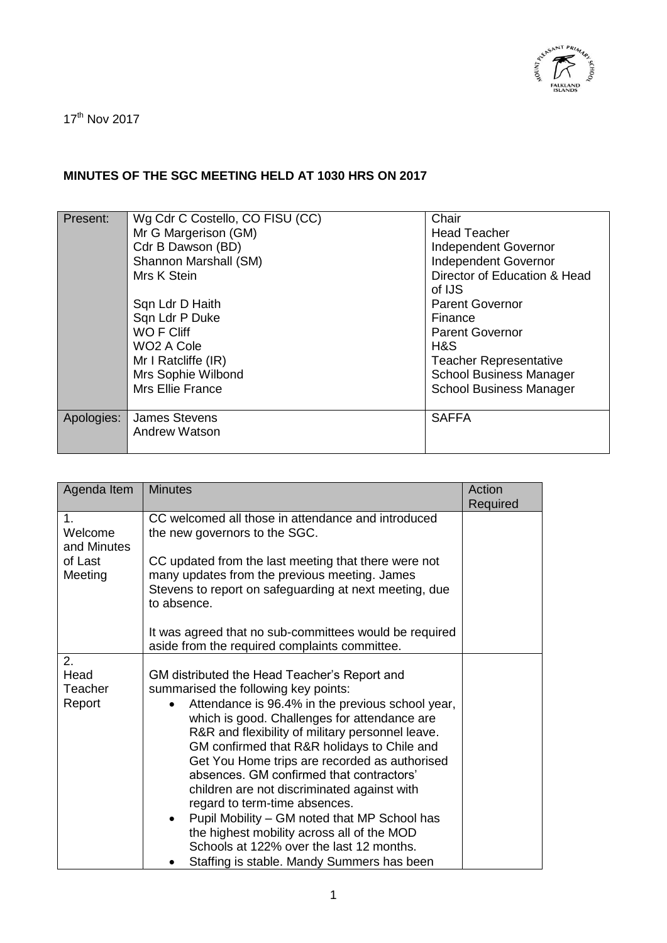

17<sup>th</sup> Nov 2017

## **MINUTES OF THE SGC MEETING HELD AT 1030 HRS ON 2017**

| Present:   | Wg Cdr C Costello, CO FISU (CC) | Chair                          |
|------------|---------------------------------|--------------------------------|
|            | Mr G Margerison (GM)            | <b>Head Teacher</b>            |
|            | Cdr B Dawson (BD)               | Independent Governor           |
|            | Shannon Marshall (SM)           | Independent Governor           |
|            | Mrs K Stein                     | Director of Education & Head   |
|            |                                 | of IJS                         |
|            | Sqn Ldr D Haith                 | <b>Parent Governor</b>         |
|            | Sqn Ldr P Duke                  | Finance                        |
|            | WO F Cliff                      | <b>Parent Governor</b>         |
|            | WO <sub>2</sub> A Cole          | H&S                            |
|            | Mr I Ratcliffe (IR)             | <b>Teacher Representative</b>  |
|            | Mrs Sophie Wilbond              | <b>School Business Manager</b> |
|            | <b>Mrs Ellie France</b>         | <b>School Business Manager</b> |
|            |                                 |                                |
| Apologies: | <b>James Stevens</b>            | <b>SAFFA</b>                   |
|            | <b>Andrew Watson</b>            |                                |
|            |                                 |                                |

| Agenda Item                  | <b>Minutes</b>                                                                                                                                                                                                                                                                                                                                                                   | Action<br>Required |
|------------------------------|----------------------------------------------------------------------------------------------------------------------------------------------------------------------------------------------------------------------------------------------------------------------------------------------------------------------------------------------------------------------------------|--------------------|
| 1.<br>Welcome<br>and Minutes | CC welcomed all those in attendance and introduced<br>the new governors to the SGC.                                                                                                                                                                                                                                                                                              |                    |
| of Last<br>Meeting           | CC updated from the last meeting that there were not<br>many updates from the previous meeting. James<br>Stevens to report on safeguarding at next meeting, due<br>to absence.                                                                                                                                                                                                   |                    |
|                              | It was agreed that no sub-committees would be required<br>aside from the required complaints committee.                                                                                                                                                                                                                                                                          |                    |
| 2.                           |                                                                                                                                                                                                                                                                                                                                                                                  |                    |
| Head                         | GM distributed the Head Teacher's Report and                                                                                                                                                                                                                                                                                                                                     |                    |
| Teacher                      | summarised the following key points:                                                                                                                                                                                                                                                                                                                                             |                    |
| Report                       | Attendance is 96.4% in the previous school year,<br>which is good. Challenges for attendance are<br>R&R and flexibility of military personnel leave.<br>GM confirmed that R&R holidays to Chile and<br>Get You Home trips are recorded as authorised<br>absences. GM confirmed that contractors'<br>children are not discriminated against with<br>regard to term-time absences. |                    |
|                              | Pupil Mobility – GM noted that MP School has<br>$\bullet$<br>the highest mobility across all of the MOD<br>Schools at 122% over the last 12 months.<br>Staffing is stable. Mandy Summers has been                                                                                                                                                                                |                    |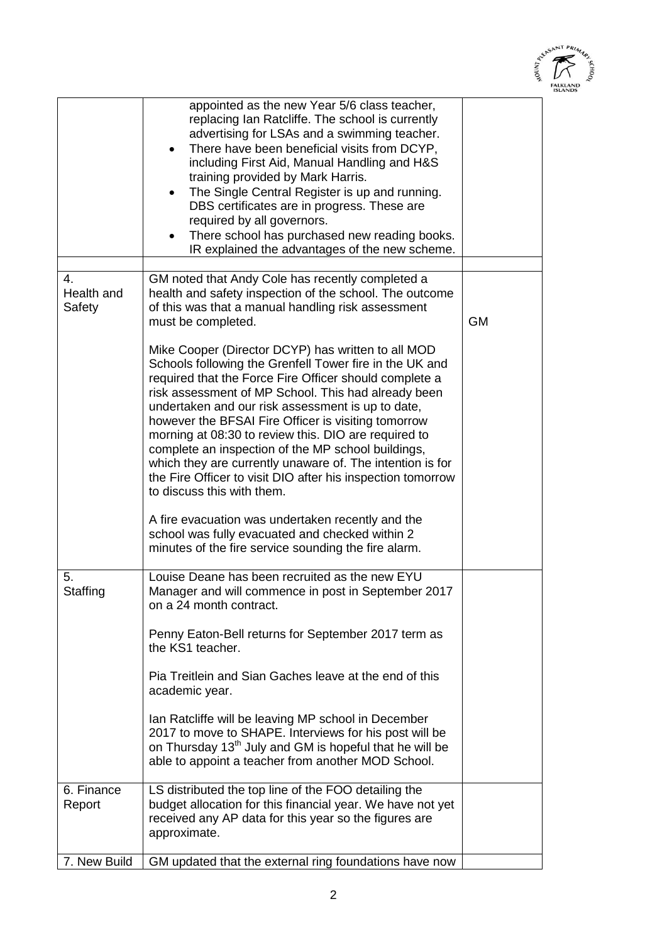

|                            | appointed as the new Year 5/6 class teacher,<br>replacing Ian Ratcliffe. The school is currently<br>advertising for LSAs and a swimming teacher.<br>There have been beneficial visits from DCYP,<br>٠<br>including First Aid, Manual Handling and H&S<br>training provided by Mark Harris.<br>The Single Central Register is up and running.<br>DBS certificates are in progress. These are<br>required by all governors.<br>There school has purchased new reading books.<br>IR explained the advantages of the new scheme.                                                                                                                        |           |
|----------------------------|-----------------------------------------------------------------------------------------------------------------------------------------------------------------------------------------------------------------------------------------------------------------------------------------------------------------------------------------------------------------------------------------------------------------------------------------------------------------------------------------------------------------------------------------------------------------------------------------------------------------------------------------------------|-----------|
|                            |                                                                                                                                                                                                                                                                                                                                                                                                                                                                                                                                                                                                                                                     |           |
| 4.<br>Health and<br>Safety | GM noted that Andy Cole has recently completed a<br>health and safety inspection of the school. The outcome<br>of this was that a manual handling risk assessment<br>must be completed.<br>Mike Cooper (Director DCYP) has written to all MOD<br>Schools following the Grenfell Tower fire in the UK and<br>required that the Force Fire Officer should complete a<br>risk assessment of MP School. This had already been<br>undertaken and our risk assessment is up to date,<br>however the BFSAI Fire Officer is visiting tomorrow<br>morning at 08:30 to review this. DIO are required to<br>complete an inspection of the MP school buildings, | <b>GM</b> |
|                            | which they are currently unaware of. The intention is for<br>the Fire Officer to visit DIO after his inspection tomorrow<br>to discuss this with them.<br>A fire evacuation was undertaken recently and the<br>school was fully evacuated and checked within 2<br>minutes of the fire service sounding the fire alarm.                                                                                                                                                                                                                                                                                                                              |           |
| 5.<br>Staffing             | Louise Deane has been recruited as the new EYU<br>Manager and will commence in post in September 2017<br>on a 24 month contract.                                                                                                                                                                                                                                                                                                                                                                                                                                                                                                                    |           |
|                            | Penny Eaton-Bell returns for September 2017 term as<br>the KS1 teacher.                                                                                                                                                                                                                                                                                                                                                                                                                                                                                                                                                                             |           |
|                            | Pia Treitlein and Sian Gaches leave at the end of this<br>academic year.                                                                                                                                                                                                                                                                                                                                                                                                                                                                                                                                                                            |           |
|                            | Ian Ratcliffe will be leaving MP school in December<br>2017 to move to SHAPE. Interviews for his post will be<br>on Thursday 13 <sup>th</sup> July and GM is hopeful that he will be<br>able to appoint a teacher from another MOD School.                                                                                                                                                                                                                                                                                                                                                                                                          |           |
| 6. Finance<br>Report       | LS distributed the top line of the FOO detailing the<br>budget allocation for this financial year. We have not yet<br>received any AP data for this year so the figures are<br>approximate.                                                                                                                                                                                                                                                                                                                                                                                                                                                         |           |
| 7. New Build               | GM updated that the external ring foundations have now                                                                                                                                                                                                                                                                                                                                                                                                                                                                                                                                                                                              |           |